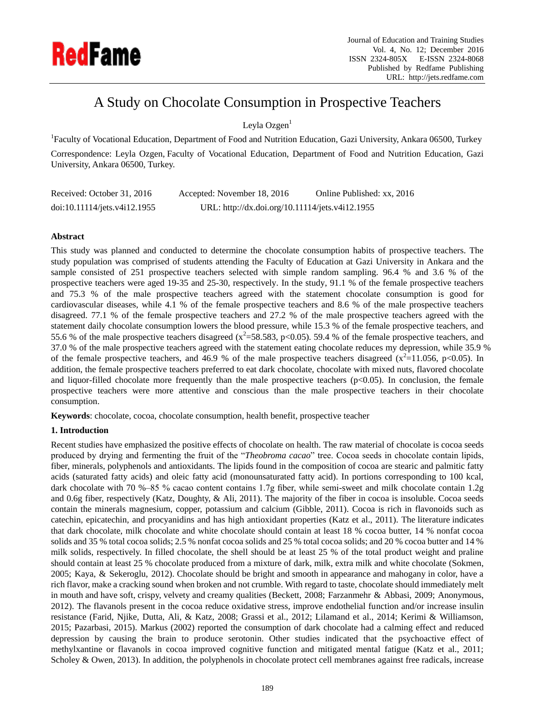

# A Study on Chocolate Consumption in Prospective Teachers

Leyla Ozgen $<sup>1</sup>$ </sup>

<sup>1</sup>Faculty of Vocational Education, Department of Food and Nutrition Education, Gazi University, Ankara 06500, Turkey Correspondence: Leyla Ozgen, Faculty of Vocational Education, Department of Food and Nutrition Education, Gazi University, Ankara 06500, Turkey.

| Received: October 31, 2016   | Accepted: November 18, 2016                     | Online Published: xx, 2016 |
|------------------------------|-------------------------------------------------|----------------------------|
| doi:10.11114/jets.v4i12.1955 | URL: http://dx.doi.org/10.11114/jets.v4i12.1955 |                            |

# **Abstract**

This study was planned and conducted to determine the chocolate consumption habits of prospective teachers. The study population was comprised of students attending the Faculty of Education at Gazi University in Ankara and the sample consisted of 251 prospective teachers selected with simple random sampling. 96.4 % and 3.6 % of the prospective teachers were aged 19-35 and 25-30, respectively. In the study, 91.1 % of the female prospective teachers and 75.3 % of the male prospective teachers agreed with the statement chocolate consumption is good for cardiovascular diseases, while 4.1 % of the female prospective teachers and 8.6 % of the male prospective teachers disagreed. 77.1 % of the female prospective teachers and 27.2 % of the male prospective teachers agreed with the statement daily chocolate consumption lowers the blood pressure, while 15.3 % of the female prospective teachers, and 55.6 % of the male prospective teachers disagreed ( $x^2$ =58.583, p<0.05). 59.4 % of the female prospective teachers, and 37.0 % of the male prospective teachers agreed with the statement eating chocolate reduces my depression, while 35.9 % of the female prospective teachers, and 46.9 % of the male prospective teachers disagreed  $(x^2=11.056, p<0.05)$ . In addition, the female prospective teachers preferred to eat dark chocolate, chocolate with mixed nuts, flavored chocolate and liquor-filled chocolate more frequently than the male prospective teachers  $(p<0.05)$ . In conclusion, the female prospective teachers were more attentive and conscious than the male prospective teachers in their chocolate consumption.

**Keywords**: chocolate, cocoa, chocolate consumption, health benefit, prospective teacher

# **1. Introduction**

Recent studies have emphasized the positive effects of chocolate on health. The raw material of chocolate is cocoa seeds produced by drying and fermenting the fruit of the "*Theobroma cacao*" tree. Cocoa seeds in chocolate contain lipids, fiber, minerals, polyphenols and antioxidants. The lipids found in the composition of cocoa are stearic and palmitic fatty acids (saturated fatty acids) and oleic fatty acid (monounsaturated fatty acid). In portions corresponding to 100 kcal, dark chocolate with 70 %–85 % cacao content contains 1.7g fiber, while semi-sweet and milk chocolate contain 1.2g and 0.6g fiber, respectively (Katz, Doughty, & Ali, 2011). The majority of the fiber in cocoa is insoluble. Cocoa seeds contain the minerals magnesium, copper, potassium and calcium (Gibble, 2011). Cocoa is rich in flavonoids such as catechin, epicatechin, and procyanidins and has high antioxidant properties (Katz et al., 2011). The literature indicates that dark chocolate, milk chocolate and white chocolate should contain at least 18 % cocoa butter, 14 % nonfat cocoa solids and 35 % total cocoa solids; 2.5 % nonfat cocoa solids and 25 % total cocoa solids; and 20 % cocoa butter and 14 % milk solids, respectively. In filled chocolate, the shell should be at least 25 % of the total product weight and praline should contain at least 25 % chocolate produced from a mixture of dark, milk, extra milk and white chocolate (Sokmen, 2005; Kaya, & Sekeroglu, 2012). Chocolate should be bright and smooth in appearance and mahogany in color, have a rich flavor, make a cracking sound when broken and not crumble. With regard to taste, chocolate should immediately melt in mouth and have soft, crispy, velvety and creamy qualities (Beckett, 2008; Farzanmehr & Abbasi, 2009; Anonymous, 2012). The flavanols present in the cocoa reduce oxidative stress, improve endothelial function and/or increase insulin resistance (Farid, Njike, Dutta, Ali, & Katz, 2008; Grassi et al., 2012; Lilamand et al., 2014; Kerimi & Williamson, 2015; Pazarbasi, 2015). Markus (2002) reported the consumption of dark chocolate had a calming effect and reduced depression by causing the brain to produce serotonin. Other studies indicated that the psychoactive effect of methylxantine or flavanols in cocoa improved cognitive function and mitigated mental fatigue (Katz et al., 2011; Scholey & Owen, 2013). In addition, the polyphenols in chocolate protect cell membranes against free radicals, increase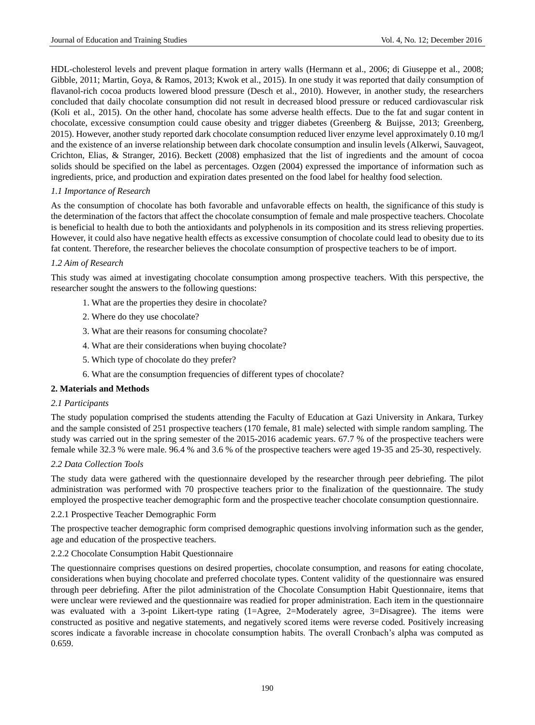HDL-cholesterol levels and prevent plaque formation in artery walls (Hermann et al., 2006; di Giuseppe et al., 2008; Gibble, 2011; Martin, Goya, & Ramos, 2013; Kwok et al., 2015). In one study it was reported that daily consumption of flavanol-rich cocoa products lowered blood pressure (Desch et al., 2010). However, in another study, the researchers concluded that daily chocolate consumption did not result in decreased blood pressure or reduced cardiovascular risk (Koli et al., 2015). On the other hand, chocolate has some adverse health effects. Due to the fat and sugar content in chocolate, excessive consumption could cause obesity and trigger diabetes (Greenberg & Buijsse, 2013; Greenberg, 2015). However, another study reported dark chocolate consumption reduced liver enzyme level approximately 0.10 mg/l and the existence of an inverse relationship between dark chocolate consumption and insulin levels (Alkerwi, Sauvageot, Crichton, Elias, & Stranger, 2016). Beckett (2008) emphasized that the list of ingredients and the amount of cocoa solids should be specified on the label as percentages. Ozgen (2004) expressed the importance of information such as ingredients, price, and production and expiration dates presented on the food label for healthy food selection.

# *1.1 Importance of Research*

As the consumption of chocolate has both favorable and unfavorable effects on health, the significance of this study is the determination of the factors that affect the chocolate consumption of female and male prospective teachers. Chocolate is beneficial to health due to both the antioxidants and polyphenols in its composition and its stress relieving properties. However, it could also have negative health effects as excessive consumption of chocolate could lead to obesity due to its fat content. Therefore, the researcher believes the chocolate consumption of prospective teachers to be of import.

# *1.2 Aim of Research*

This study was aimed at investigating chocolate consumption among prospective teachers. With this perspective, the researcher sought the answers to the following questions:

- 1. What are the properties they desire in chocolate?
- 2. Where do they use chocolate?
- 3. What are their reasons for consuming chocolate?
- 4. What are their considerations when buying chocolate?
- 5. Which type of chocolate do they prefer?
- 6. What are the consumption frequencies of different types of chocolate?

#### **2. Materials and Methods**

#### *2.1 Participants*

The study population comprised the students attending the Faculty of Education at Gazi University in Ankara, Turkey and the sample consisted of 251 prospective teachers (170 female, 81 male) selected with simple random sampling. The study was carried out in the spring semester of the 2015-2016 academic years. 67.7 % of the prospective teachers were female while 32.3 % were male. 96.4 % and 3.6 % of the prospective teachers were aged 19-35 and 25-30, respectively.

#### *2.2 Data Collection Tools*

The study data were gathered with the questionnaire developed by the researcher through peer debriefing. The pilot administration was performed with 70 prospective teachers prior to the finalization of the questionnaire. The study employed the prospective teacher demographic form and the prospective teacher chocolate consumption questionnaire.

#### 2.2.1 Prospective Teacher Demographic Form

The prospective teacher demographic form comprised demographic questions involving information such as the gender, age and education of the prospective teachers.

#### 2.2.2 Chocolate Consumption Habit Questionnaire

The questionnaire comprises questions on desired properties, chocolate consumption, and reasons for eating chocolate, considerations when buying chocolate and preferred chocolate types. Content validity of the questionnaire was ensured through peer debriefing. After the pilot administration of the Chocolate Consumption Habit Questionnaire, items that were unclear were reviewed and the questionnaire was readied for proper administration. Each item in the questionnaire was evaluated with a 3-point Likert-type rating (1=Agree, 2=Moderately agree, 3=Disagree). The items were constructed as positive and negative statements, and negatively scored items were reverse coded. Positively increasing scores indicate a favorable increase in chocolate consumption habits. The overall Cronbach's alpha was computed as 0.659.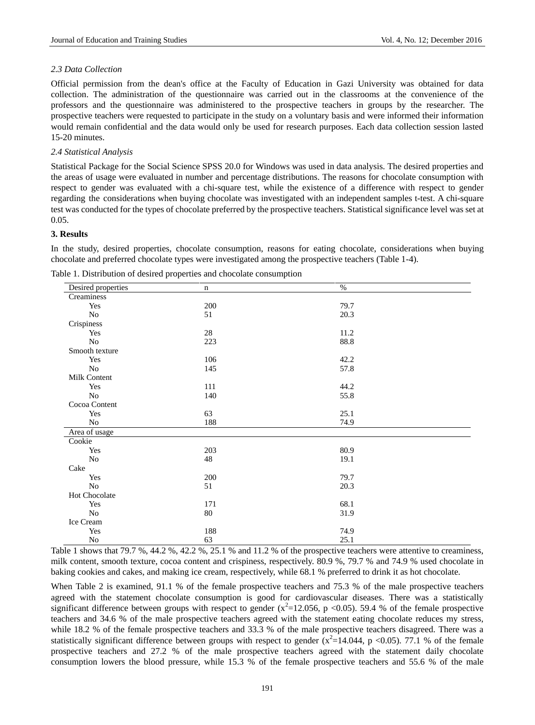# *2.3 Data Collection*

Official permission from the dean's office at the Faculty of Education in Gazi University was obtained for data collection. The administration of the questionnaire was carried out in the classrooms at the convenience of the professors and the questionnaire was administered to the prospective teachers in groups by the researcher. The prospective teachers were requested to participate in the study on a voluntary basis and were informed their information would remain confidential and the data would only be used for research purposes. Each data collection session lasted 15-20 minutes.

# *2.4 Statistical Analysis*

Statistical Package for the Social Science SPSS 20.0 for Windows was used in data analysis. The desired properties and the areas of usage were evaluated in number and percentage distributions. The reasons for chocolate consumption with respect to gender was evaluated with a chi-square test, while the existence of a difference with respect to gender regarding the considerations when buying chocolate was investigated with an independent samples t-test. A chi-square test was conducted for the types of chocolate preferred by the prospective teachers. Statistical significance level was set at 0.05.

# **3. Results**

In the study, desired properties, chocolate consumption, reasons for eating chocolate, considerations when buying chocolate and preferred chocolate types were investigated among the prospective teachers (Table 1-4).

| Desired properties | $\mathbf n$ | $\%$ |  |
|--------------------|-------------|------|--|
| Creaminess         |             |      |  |
| Yes                | 200         | 79.7 |  |
| $\rm No$           | 51          | 20.3 |  |
| Crispiness         |             |      |  |
| Yes                | $28\,$      | 11.2 |  |
| No                 | 223         | 88.8 |  |
| Smooth texture     |             |      |  |
| Yes                | 106         | 42.2 |  |
| No                 | 145         | 57.8 |  |
| Milk Content       |             |      |  |
| Yes                | 111         | 44.2 |  |
| No                 | 140         | 55.8 |  |
| Cocoa Content      |             |      |  |
| Yes                | 63          | 25.1 |  |
| No                 | 188         | 74.9 |  |
| Area of usage      |             |      |  |
| Cookie             |             |      |  |
| Yes                | 203         | 80.9 |  |
| No                 | 48          | 19.1 |  |
| Cake               |             |      |  |
| Yes                | 200         | 79.7 |  |
| $\rm No$           | 51          | 20.3 |  |
| Hot Chocolate      |             |      |  |
| Yes                | 171         | 68.1 |  |
| No                 | $80\,$      | 31.9 |  |
| Ice Cream          |             |      |  |
| Yes                | 188         | 74.9 |  |
| No                 | 63          | 25.1 |  |

Table 1. Distribution of desired properties and chocolate consumption

Table 1 shows that 79.7 %, 44.2 %, 42.2 %, 25.1 % and 11.2 % of the prospective teachers were attentive to creaminess, milk content, smooth texture, cocoa content and crispiness, respectively. 80.9 %, 79.7 % and 74.9 % used chocolate in baking cookies and cakes, and making ice cream, respectively, while 68.1 % preferred to drink it as hot chocolate.

When Table 2 is examined, 91.1 % of the female prospective teachers and 75.3 % of the male prospective teachers agreed with the statement chocolate consumption is good for cardiovascular diseases. There was a statistically significant difference between groups with respect to gender  $(x^2=12.056, p \lt 0.05)$ . 59.4 % of the female prospective teachers and 34.6 % of the male prospective teachers agreed with the statement eating chocolate reduces my stress, while 18.2 % of the female prospective teachers and 33.3 % of the male prospective teachers disagreed. There was a statistically significant difference between groups with respect to gender  $(x^2=14.044, p < 0.05)$ . 77.1 % of the female prospective teachers and 27.2 % of the male prospective teachers agreed with the statement daily chocolate consumption lowers the blood pressure, while 15.3 % of the female prospective teachers and 55.6 % of the male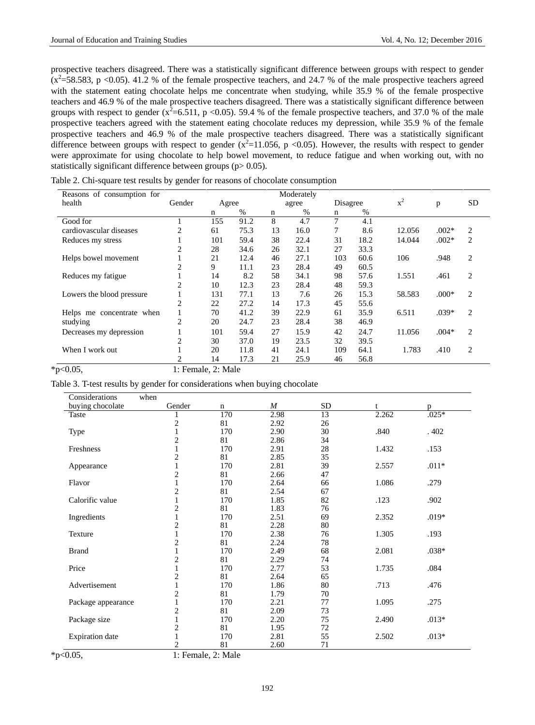prospective teachers disagreed. There was a statistically significant difference between groups with respect to gender  $(x^2=58.583, p < 0.05)$ . 41.2 % of the female prospective teachers, and 24.7 % of the male prospective teachers agreed with the statement eating chocolate helps me concentrate when studying, while 35.9 % of the female prospective teachers and 46.9 % of the male prospective teachers disagreed. There was a statistically significant difference between groups with respect to gender  $(x^2=6.511, p < 0.05)$ . 59.4 % of the female prospective teachers, and 37.0 % of the male prospective teachers agreed with the statement eating chocolate reduces my depression, while 35.9 % of the female prospective teachers and 46.9 % of the male prospective teachers disagreed. There was a statistically significant difference between groups with respect to gender  $(x^2=11.056, p \lt 0.05)$ . However, the results with respect to gender were approximate for using chocolate to help bowel movement, to reduce fatigue and when working out, with no statistically significant difference between groups  $(p > 0.05)$ .

| Reasons of consumption for |                |       |      |    | Moderately |             |      |        |         |                |
|----------------------------|----------------|-------|------|----|------------|-------------|------|--------|---------|----------------|
| health                     | Gender         | Agree |      |    | agree      | Disagree    |      | $x^2$  | p       | <b>SD</b>      |
|                            |                | n     | %    | n  | $\%$       | $\mathbf n$ | $\%$ |        |         |                |
| Good for                   |                | 155   | 91.2 | 8  | 4.7        | 7           | 4.1  |        |         |                |
| cardiovascular diseases    | 2              | 61    | 75.3 | 13 | 16.0       | 7           | 8.6  | 12.056 | $.002*$ | 2              |
| Reduces my stress          |                | 101   | 59.4 | 38 | 22.4       | 31          | 18.2 | 14.044 | $.002*$ | 2              |
|                            | $\overline{c}$ | 28    | 34.6 | 26 | 32.1       | 27          | 33.3 |        |         |                |
| Helps bowel movement       |                | 21    | 12.4 | 46 | 27.1       | 103         | 60.6 | 106    | .948    | 2              |
|                            | $\overline{c}$ | 9     | 11.1 | 23 | 28.4       | 49          | 60.5 |        |         |                |
| Reduces my fatigue         |                | 14    | 8.2  | 58 | 34.1       | 98          | 57.6 | 1.551  | .461    | $\overline{c}$ |
|                            | 2              | 10    | 12.3 | 23 | 28.4       | 48          | 59.3 |        |         |                |
| Lowers the blood pressure  |                | 131   | 77.1 | 13 | 7.6        | 26          | 15.3 | 58.583 | $.000*$ | $\overline{c}$ |
|                            | $\overline{c}$ | 22    | 27.2 | 14 | 17.3       | 45          | 55.6 |        |         |                |
| Helps me concentrate when  |                | 70    | 41.2 | 39 | 22.9       | 61          | 35.9 | 6.511  | $.039*$ | $\overline{c}$ |
| studying                   | $\overline{2}$ | 20    | 24.7 | 23 | 28.4       | 38          | 46.9 |        |         |                |
| Decreases my depression    |                | 101   | 59.4 | 27 | 15.9       | 42          | 24.7 | 11.056 | $.004*$ | $\overline{c}$ |
|                            | 2              | 30    | 37.0 | 19 | 23.5       | 32          | 39.5 |        |         |                |
| When I work out            |                | 20    | 11.8 | 41 | 24.1       | 109         | 64.1 | 1.783  | .410    | $\overline{c}$ |
|                            | 2              | 14    | 17.3 | 21 | 25.9       | 46          | 56.8 |        |         |                |

Table 2. Chi-square test results by gender for reasons of chocolate consumption

\*p<0.05, 1: Female, 2: Male

Table 3. T-test results by gender for considerations when buying chocolate

| Considerations         | when                    |     |                  |           |       |         |
|------------------------|-------------------------|-----|------------------|-----------|-------|---------|
| buying chocolate       | Gender                  | n   | $\boldsymbol{M}$ | <b>SD</b> | t     | p       |
| Taste                  |                         | 170 | 2.98             | 13        | 2.262 | $.025*$ |
|                        | $\overline{c}$          | 81  | 2.92             | 26        |       |         |
| Type                   | $\,1$                   | 170 | 2.90             | 30        | .840  | .402    |
|                        | $\overline{\mathbf{c}}$ | 81  | 2.86             | 34        |       |         |
| Freshness              | $\mathbf{1}$            | 170 | 2.91             | $28\,$    | 1.432 | .153    |
|                        | $\overline{c}$          | 81  | 2.85             | 35        |       |         |
| Appearance             | $\mathbf{1}$            | 170 | 2.81             | 39        | 2.557 | $.011*$ |
|                        | $\overline{c}$          | 81  | 2.66             | 47        |       |         |
| Flavor                 | $\mathbf{1}$            | 170 | 2.64             | 66        | 1.086 | .279    |
|                        | $\overline{c}$          | 81  | 2.54             | 67        |       |         |
| Calorific value        | $\mathbf{1}$            | 170 | 1.85             | 82        | .123  | .902    |
|                        | $\overline{c}$          | 81  | 1.83             | 76        |       |         |
| Ingredients            | 1                       | 170 | 2.51             | 69        | 2.352 | $.019*$ |
|                        | $\overline{c}$          | 81  | 2.28             | 80        |       |         |
| Texture                | $\mathbf{1}$            | 170 | 2.38             | 76        | 1.305 | .193    |
|                        | $\overline{c}$          | 81  | 2.24             | 78        |       |         |
| <b>Brand</b>           | $\mathbf{1}$            | 170 | 2.49             | 68        | 2.081 | $.038*$ |
|                        | $\overline{c}$          | 81  | 2.29             | 74        |       |         |
| Price                  | $\mathbf{1}$            | 170 | 2.77             | 53        | 1.735 | .084    |
|                        | $\overline{c}$          | 81  | 2.64             | 65        |       |         |
| Advertisement          | $\mathbf{1}$            | 170 | 1.86             | $80\,$    | .713  | .476    |
|                        | $\overline{c}$          | 81  | 1.79             | 70        |       |         |
| Package appearance     | 1                       | 170 | 2.21             | 77        | 1.095 | .275    |
|                        | 2                       | 81  | 2.09             | 73        |       |         |
| Package size           | $\mathbf{1}$            | 170 | 2.20             | 75        | 2.490 | $.013*$ |
|                        | $\overline{c}$          | 81  | 1.95             | 72        |       |         |
| <b>Expiration</b> date | $\mathbf{1}$            | 170 | 2.81             | 55        | 2.502 | $.013*$ |
|                        | $\overline{2}$          | 81  | 2.60             | 71        |       |         |

\*p<0.05, 1: Female, 2: Male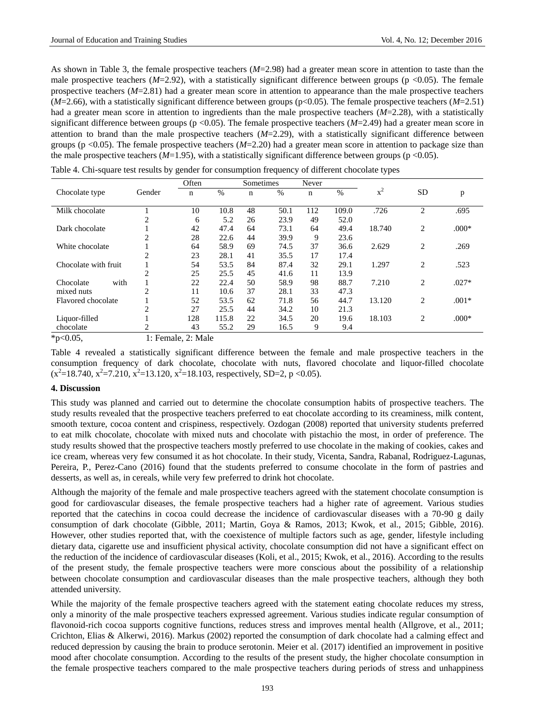As shown in Table 3, the female prospective teachers ( $M=2.98$ ) had a greater mean score in attention to taste than the male prospective teachers  $(M=2.92)$ , with a statistically significant difference between groups (p <0.05). The female prospective teachers (*M*=2.81) had a greater mean score in attention to appearance than the male prospective teachers (*M*=2.66), with a statistically significant difference between groups (p<0.05). The female prospective teachers (*M*=2.51) had a greater mean score in attention to ingredients than the male prospective teachers (*M*=2.28), with a statistically significant difference between groups ( $p < 0.05$ ). The female prospective teachers ( $M=2.49$ ) had a greater mean score in attention to brand than the male prospective teachers  $(M=2.29)$ , with a statistically significant difference between groups (p <0.05). The female prospective teachers (*M*=2.20) had a greater mean score in attention to package size than the male prospective teachers  $(M=1.95)$ , with a statistically significant difference between groups (p <0.05).

|                      |                | Often | Sometimes |    | Never |     |       |        |    |         |
|----------------------|----------------|-------|-----------|----|-------|-----|-------|--------|----|---------|
| Chocolate type       | Gender         | n     | $\%$      | n  | $\%$  | n   | %     | $x^2$  | SD | p       |
| Milk chocolate       |                | 10    | 10.8      | 48 | 50.1  | 112 | 109.0 | .726   | 2  | .695    |
|                      | 2              | 6     | 5.2       | 26 | 23.9  | 49  | 52.0  |        |    |         |
| Dark chocolate       |                | 42    | 47.4      | 64 | 73.1  | 64  | 49.4  | 18.740 | 2  | $.000*$ |
|                      | 2              | 28    | 22.6      | 44 | 39.9  | 9   | 23.6  |        |    |         |
| White chocolate      |                | 64    | 58.9      | 69 | 74.5  | 37  | 36.6  | 2.629  | 2  | .269    |
|                      | $\overline{2}$ | 23    | 28.1      | 41 | 35.5  | 17  | 17.4  |        |    |         |
| Chocolate with fruit |                | 54    | 53.5      | 84 | 87.4  | 32  | 29.1  | 1.297  | 2  | .523    |
|                      | 2              | 25    | 25.5      | 45 | 41.6  | 11  | 13.9  |        |    |         |
| with<br>Chocolate    |                | 22    | 22.4      | 50 | 58.9  | 98  | 88.7  | 7.210  | 2  | $.027*$ |
| mixed nuts           | $\overline{c}$ | 11    | 10.6      | 37 | 28.1  | 33  | 47.3  |        |    |         |
| Flavored chocolate   |                | 52    | 53.5      | 62 | 71.8  | 56  | 44.7  | 13.120 | 2  | $.001*$ |
|                      | 2              | 27    | 25.5      | 44 | 34.2  | 10  | 21.3  |        |    |         |
| Liquor-filled        |                | 128   | 115.8     | 22 | 34.5  | 20  | 19.6  | 18.103 | 2  | $.000*$ |
| chocolate            |                | 43    | 55.2      | 29 | 16.5  | 9   | 9.4   |        |    |         |

Table 4. Chi-square test results by gender for consumption frequency of different chocolate types

\*p<0.05, 1: Female, 2: Male

Table 4 revealed a statistically significant difference between the female and male prospective teachers in the consumption frequency of dark chocolate, chocolate with nuts, flavored chocolate and liquor-filled chocolate  $(x^2=18.740, x^2=7.210, x^2=13.120, x^2=18.103, respectively, SD=2, p < 0.05).$ 

# **4. Discussion**

This study was planned and carried out to determine the chocolate consumption habits of prospective teachers. The study results revealed that the prospective teachers preferred to eat chocolate according to its creaminess, milk content, smooth texture, cocoa content and crispiness, respectively. Ozdogan (2008) reported that university students preferred to eat milk chocolate, chocolate with mixed nuts and chocolate with pistachio the most, in order of preference. The study results showed that the prospective teachers mostly preferred to use chocolate in the making of cookies, cakes and ice cream, whereas very few consumed it as hot chocolate. In their study, Vicenta, Sandra, Rabanal, Rodriguez-Lagunas, Pereira, P., Perez-Cano (2016) found that the students preferred to consume chocolate in the form of pastries and desserts, as well as, in cereals, while very few preferred to drink hot chocolate.

Although the majority of the female and male prospective teachers agreed with the statement chocolate consumption is good for cardiovascular diseases, the female prospective teachers had a higher rate of agreement. Various studies reported that the catechins in cocoa could decrease the incidence of cardiovascular diseases with a 70-90 g daily consumption of dark chocolate (Gibble, 2011; Martin, Goya & Ramos, 2013; Kwok, et al., 2015; Gibble, 2016). However, other studies reported that, with the coexistence of multiple factors such as age, gender, lifestyle including dietary data, cigarette use and insufficient physical activity, chocolate consumption did not have a significant effect on the reduction of the incidence of cardiovascular diseases (Koli, et al., 2015; Kwok, et al., 2016). According to the results of the present study, the female prospective teachers were more conscious about the possibility of a relationship between chocolate consumption and cardiovascular diseases than the male prospective teachers, although they both attended university.

While the majority of the female prospective teachers agreed with the statement eating chocolate reduces my stress, only a minority of the male prospective teachers expressed agreement. Various studies indicate regular consumption of flavonoid-rich cocoa supports cognitive functions, reduces stress and improves mental health (Allgrove, et al., 2011; Crichton, Elias & Alkerwi, 2016). Markus (2002) reported the consumption of dark chocolate had a calming effect and reduced depression by causing the brain to produce serotonin. Meier et al. (2017) identified an improvement in positive mood after chocolate consumption. According to the results of the present study, the higher chocolate consumption in the female prospective teachers compared to the male prospective teachers during periods of stress and unhappiness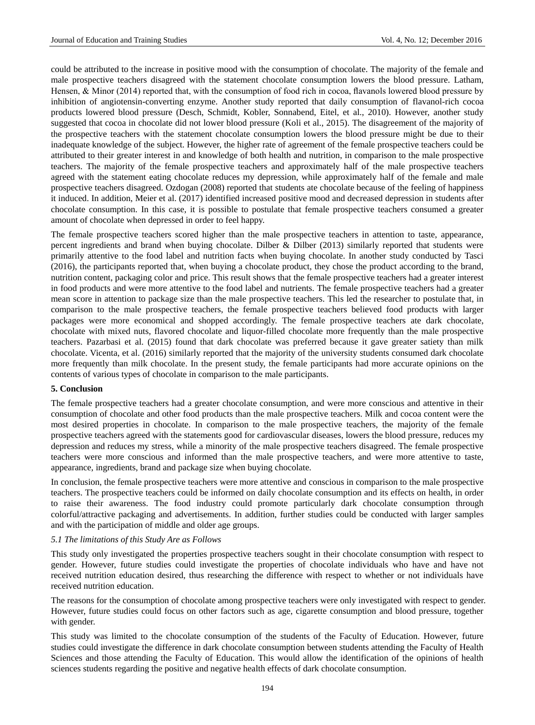could be attributed to the increase in positive mood with the consumption of chocolate. The majority of the female and male prospective teachers disagreed with the statement chocolate consumption lowers the blood pressure. Latham, Hensen, & Minor (2014) reported that, with the consumption of food rich in cocoa, flavanols lowered blood pressure by inhibition of angiotensin-converting enzyme. Another study reported that daily consumption of flavanol-rich cocoa products lowered blood pressure (Desch, Schmidt, Kobler, Sonnabend, Eitel, et al., 2010). However, another study suggested that cocoa in chocolate did not lower blood pressure (Koli et al., 2015). The disagreement of the majority of the prospective teachers with the statement chocolate consumption lowers the blood pressure might be due to their inadequate knowledge of the subject. However, the higher rate of agreement of the female prospective teachers could be attributed to their greater interest in and knowledge of both health and nutrition, in comparison to the male prospective teachers. The majority of the female prospective teachers and approximately half of the male prospective teachers agreed with the statement eating chocolate reduces my depression, while approximately half of the female and male prospective teachers disagreed. Ozdogan (2008) reported that students ate chocolate because of the feeling of happiness it induced. In addition, Meier et al. (2017) identified increased positive mood and decreased depression in students after chocolate consumption. In this case, it is possible to postulate that female prospective teachers consumed a greater amount of chocolate when depressed in order to feel happy.

The female prospective teachers scored higher than the male prospective teachers in attention to taste, appearance, percent ingredients and brand when buying chocolate. Dilber & Dilber (2013) similarly reported that students were primarily attentive to the food label and nutrition facts when buying chocolate. In another study conducted by Tasci (2016), the participants reported that, when buying a chocolate product, they chose the product according to the brand, nutrition content, packaging color and price. This result shows that the female prospective teachers had a greater interest in food products and were more attentive to the food label and nutrients. The female prospective teachers had a greater mean score in attention to package size than the male prospective teachers. This led the researcher to postulate that, in comparison to the male prospective teachers, the female prospective teachers believed food products with larger packages were more economical and shopped accordingly. The female prospective teachers ate dark chocolate, chocolate with mixed nuts, flavored chocolate and liquor-filled chocolate more frequently than the male prospective teachers. Pazarbasi et al. (2015) found that dark chocolate was preferred because it gave greater satiety than milk chocolate. Vicenta, et al. (2016) similarly reported that the majority of the university students consumed dark chocolate more frequently than milk chocolate. In the present study, the female participants had more accurate opinions on the contents of various types of chocolate in comparison to the male participants.

#### **5. Conclusion**

The female prospective teachers had a greater chocolate consumption, and were more conscious and attentive in their consumption of chocolate and other food products than the male prospective teachers. Milk and cocoa content were the most desired properties in chocolate. In comparison to the male prospective teachers, the majority of the female prospective teachers agreed with the statements good for cardiovascular diseases, lowers the blood pressure, reduces my depression and reduces my stress, while a minority of the male prospective teachers disagreed. The female prospective teachers were more conscious and informed than the male prospective teachers, and were more attentive to taste, appearance, ingredients, brand and package size when buying chocolate.

In conclusion, the female prospective teachers were more attentive and conscious in comparison to the male prospective teachers. The prospective teachers could be informed on daily chocolate consumption and its effects on health, in order to raise their awareness. The food industry could promote particularly dark chocolate consumption through colorful/attractive packaging and advertisements. In addition, further studies could be conducted with larger samples and with the participation of middle and older age groups.

#### *5.1 The limitations of this Study Are as Follows*

This study only investigated the properties prospective teachers sought in their chocolate consumption with respect to gender. However, future studies could investigate the properties of chocolate individuals who have and have not received nutrition education desired, thus researching the difference with respect to whether or not individuals have received nutrition education.

The reasons for the consumption of chocolate among prospective teachers were only investigated with respect to gender. However, future studies could focus on other factors such as age, cigarette consumption and blood pressure, together with gender.

This study was limited to the chocolate consumption of the students of the Faculty of Education. However, future studies could investigate the difference in dark chocolate consumption between students attending the Faculty of Health Sciences and those attending the Faculty of Education. This would allow the identification of the opinions of health sciences students regarding the positive and negative health effects of dark chocolate consumption.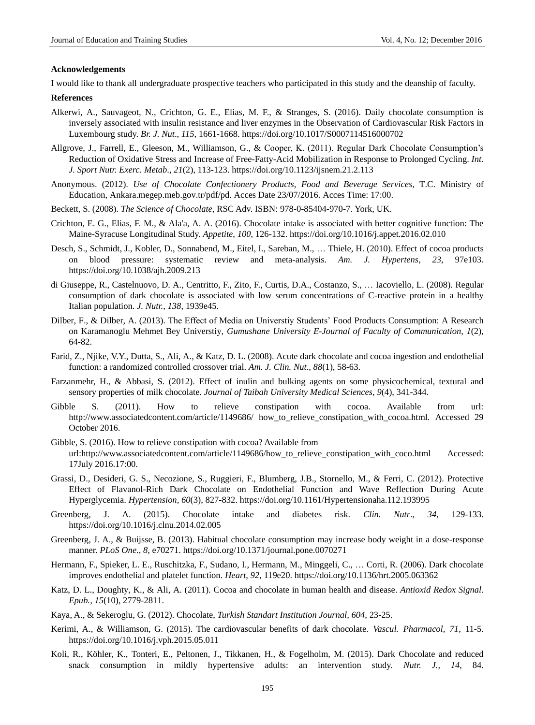#### **Acknowledgements**

I would like to thank all undergraduate prospective teachers who participated in this study and the deanship of faculty.

#### **References**

- Alkerwi, A., Sauvageot, N., Crichton, G. E., Elias, M. F., & Stranges, S. (2016). Daily chocolate consumption is inversely associated with insulin resistance and liver enzymes in the Observation of Cardiovascular Risk Factors in Luxembourg study. *Br. J. Nut*., *115*, 1661-1668[. https://doi.org/10.1017/S0007114516000702](https://doi.org/10.1017/S0007114516000702)
- Allgrove, J., Farrell, E., Gleeson, M., Williamson, G., & Cooper, K. (2011). Regular Dark Chocolate Consumption's Reduction of Oxidative Stress and Increase of Free-Fatty-Acid Mobilization in Response to Prolonged Cycling. *Int. J. Sport Nutr. Exerc. Metab*., *21*(2), 113-123. <https://doi.org/10.1123/ijsnem.21.2.113>
- Anonymous. (2012). *Use of Chocolate Confectionery Products, Food and Beverage Services,* T.C. Ministry of Education, Ankara.megep.meb.gov.tr/pdf/pd. Acces Date 23/07/2016. Acces Time: 17:00.
- Beckett, S. (2008). *The Science of Chocolate*, RSC Adv. ISBN: 978-0-85404-970-7. York, UK.
- Crichton, E. G., Elias, F. M., & Ala'a, A. A. (2016). Chocolate intake is associated with better cognitive function: The Maine-Syracuse Longitudinal Study. *Appetite*, *100*, 126-132[. https://doi.org/10.1016/j.appet.2016.02.010](https://doi.org/10.1016/j.appet.2016.02.010)
- Desch, S., Schmidt, J., Kobler, D., Sonnabend, M., Eitel, I., Sareban, M., … Thiele, H. (2010). Effect of cocoa products on blood pressure: systematic review and meta-analysis. *Am. J. Hypertens*, *23*, 97e103. <https://doi.org/10.1038/ajh.2009.213>
- di Giuseppe, R., Castelnuovo, D. A., Centritto, F., Zito, F., Curtis, D.A., Costanzo, S., … [Iacoviello, L.](https://www.ncbi.nlm.nih.gov/pubmed/?term=Iacoviello%20L%5BAuthor%5D&cauthor=true&cauthor_uid=18806104) (2008). Regular consumption of dark chocolate is associated with low serum concentrations of C-reactive protein in a healthy Italian population. *J. Nutr., 138*, 1939e45.
- Dilber, F., & Dilber, A. (2013). The Effect of Media on Universtiy Students' Food Products Consumption: A Research on Karamanoglu Mehmet Bey Universtiy, *Gumushane University E-Journal of Faculty of Communication*, *1*(2), 64-82.
- Farid, Z., Njike, V.Y., Dutta, S., Ali, A., & Katz, D. L. (2008). Acute dark chocolate and cocoa ingestion and endothelial function: a randomized controlled crossover trial. *Am. J. Clin. Nut., 88*(1), 58-63.
- Farzanmehr, H., & Abbasi, S. (2012). Effect of inulin and bulking agents on some physicochemical, textural and sensory properties of milk chocolate. *Journal of Taibah University Medical Sciences, 9*(4), 341-344.
- Gibble S. (2011). How to relieve constipation with cocoa. Available from url: http://www.associatedcontent.com/article/1149686/ how\_to\_relieve\_constipation\_with\_cocoa.html. Accessed 29 October 2016.
- Gibble, S. (2016). How to relieve constipation with cocoa? Available from url:http://www.associatedcontent.com/article/1149686/how\_to\_relieve\_constipation\_with\_coco.html Accessed: 17July 2016.17:00.
- Grassi, D., Desideri, G. S., Necozione, S., Ruggieri, F., Blumberg, J.B., Stornello, M., & Ferri, C. (2012). Protective Effect of Flavanol-Rich Dark Chocolate on Endothelial Function and Wave Reflection During Acute Hyperglycemia. *Hypertension*, *60*(3), 827-832. [https://doi.org/10.1161/Hypertensionaha.112.193995](https://doi.org/10.1161/HYPERTENSIONAHA.112.193995)
- Greenberg, J. A. (2015). Chocolate intake and diabetes risk. *Clin. Nutr*., *34*, 129-133. <https://doi.org/10.1016/j.clnu.2014.02.005>
- Greenberg, J. A., & Buijsse, B. (2013). Habitual chocolate consumption may increase body weight in a dose-response manner. *PLoS One*., *8*, e70271.<https://doi.org/10.1371/journal.pone.0070271>
- Hermann, F., Spieker, L. E., Ruschitzka, F., Sudano, I., Hermann, M., Minggeli, C., … Corti, R. (2006). Dark chocolate improves endothelial and platelet function. *Heart*, *92*, 119e20.<https://doi.org/10.1136/hrt.2005.063362>
- Katz, D. L., Doughty, K., & Ali, A. (2011). Cocoa and chocolate in human health and disease. *Antioxid Redox Signal. Epub., 15*(10), 2779-2811.
- Kaya, A., & Sekeroglu, G. (2012). Chocolate, *Turkish Standart Institution Journal, 604*, 23-25.
- [Kerimi, A.](http://www.ncbi.nlm.nih.gov/pubmed/?term=Kerimi%20A%5BAuthor%5D&cauthor=true&cauthor_uid=26026398), & [Williamson, G. \(](http://www.ncbi.nlm.nih.gov/pubmed/?term=Williamson%20G%5BAuthor%5D&cauthor=true&cauthor_uid=26026398)2015). The cardiovascular benefits of dark chocolate. *Vascul. Pharmacol, 71*, 11-5. <https://doi.org/10.1016/j.vph.2015.05.011>
- Koli, R., Köhler, K., Tonteri, E., Peltonen, J., Tikkanen, H., & Fogelholm, M. (2015). Dark Chocolate and reduced snack consumption in mildly hypertensive adults: an intervention study. *Nutr. J., 14*, 84.